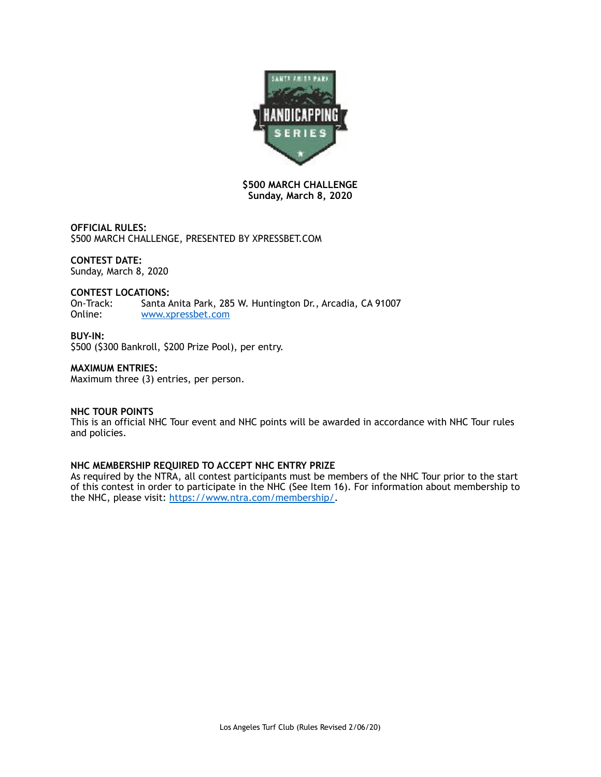

# **\$500 MARCH CHALLENGE Sunday, March 8, 2020**

**OFFICIAL RULES:**  \$500 MARCH CHALLENGE, PRESENTED BY XPRESSBET.COM

# **CONTEST DATE:**

Sunday, March 8, 2020

# **CONTEST LOCATIONS:**

On-Track: Santa Anita Park, 285 W. Huntington Dr., Arcadia, CA 91007<br>Online: www.xpressbet.com [www.xpressbet.com](http://www.xpressbet.com)

#### **BUY-IN:**

\$500 (\$300 Bankroll, \$200 Prize Pool), per entry.

# **MAXIMUM ENTRIES:**

Maximum three (3) entries, per person.

# **NHC TOUR POINTS**

This is an official NHC Tour event and NHC points will be awarded in accordance with NHC Tour rules and policies.

# **NHC MEMBERSHIP REQUIRED TO ACCEPT NHC ENTRY PRIZE**

As required by the NTRA, all contest participants must be members of the NHC Tour prior to the start of this contest in order to participate in the NHC (See Item 16). For information about membership to the NHC, please visit: [https://www.ntra.com/membership/.](https://www.ntra.com/membership/)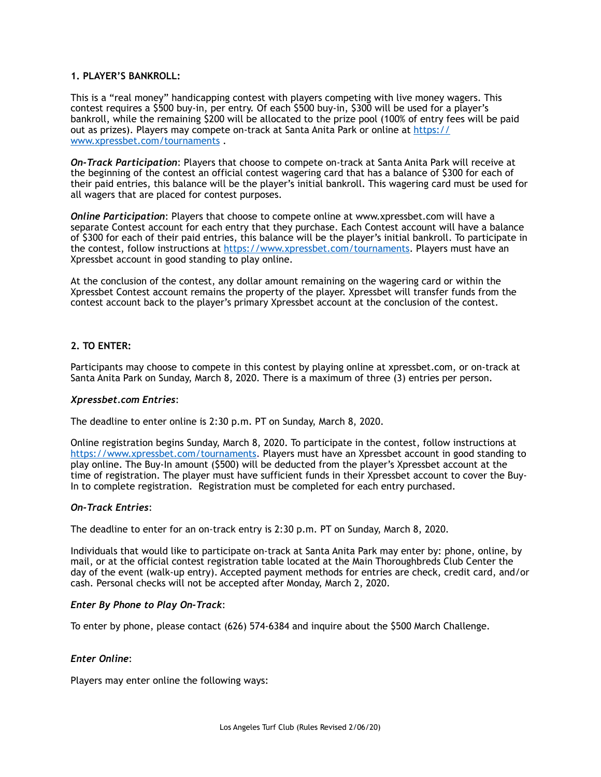# **1. PLAYER'S BANKROLL:**

This is a "real money" handicapping contest with players competing with live money wagers. This contest requires a \$500 buy-in, per entry. Of each \$500 buy-in, \$300 will be used for a player's bankroll, while the remaining \$200 will be allocated to the prize pool (100% of entry fees will be paid out as prizes). Players may compete on-track at Santa Anita Park or online at [https://](https://www.xpressbet.com/tournaments) [www.xpressbet.com/tournaments](https://www.xpressbet.com/tournaments) .

*On-Track Participation*: Players that choose to compete on-track at Santa Anita Park will receive at the beginning of the contest an official contest wagering card that has a balance of \$300 for each of their paid entries, this balance will be the player's initial bankroll. This wagering card must be used for all wagers that are placed for contest purposes.

*Online Participation*: Players that choose to compete online at www.xpressbet.com will have a separate Contest account for each entry that they purchase. Each Contest account will have a balance of \$300 for each of their paid entries, this balance will be the player's initial bankroll. To participate in the contest, follow instructions at<https://www.xpressbet.com/tournaments>. Players must have an Xpressbet account in good standing to play online.

At the conclusion of the contest, any dollar amount remaining on the wagering card or within the Xpressbet Contest account remains the property of the player. Xpressbet will transfer funds from the contest account back to the player's primary Xpressbet account at the conclusion of the contest.

# **2. TO ENTER:**

Participants may choose to compete in this contest by playing online at xpressbet.com, or on-track at Santa Anita Park on Sunday, March 8, 2020. There is a maximum of three (3) entries per person.

#### *Xpressbet.com Entries*:

The deadline to enter online is 2:30 p.m. PT on Sunday, March 8, 2020.

Online registration begins Sunday, March 8, 2020. To participate in the contest, follow instructions at <https://www.xpressbet.com/tournaments>. Players must have an Xpressbet account in good standing to play online. The Buy-In amount (\$500) will be deducted from the player's Xpressbet account at the time of registration. The player must have sufficient funds in their Xpressbet account to cover the Buy-In to complete registration. Registration must be completed for each entry purchased.

# *On-Track Entries*:

The deadline to enter for an on-track entry is 2:30 p.m. PT on Sunday, March 8, 2020.

Individuals that would like to participate on-track at Santa Anita Park may enter by: phone, online, by mail, or at the official contest registration table located at the Main Thoroughbreds Club Center the day of the event (walk-up entry). Accepted payment methods for entries are check, credit card, and/or cash. Personal checks will not be accepted after Monday, March 2, 2020.

#### *Enter By Phone to Play On-Track*:

To enter by phone, please contact (626) 574-6384 and inquire about the \$500 March Challenge.

# *Enter Online*:

Players may enter online the following ways: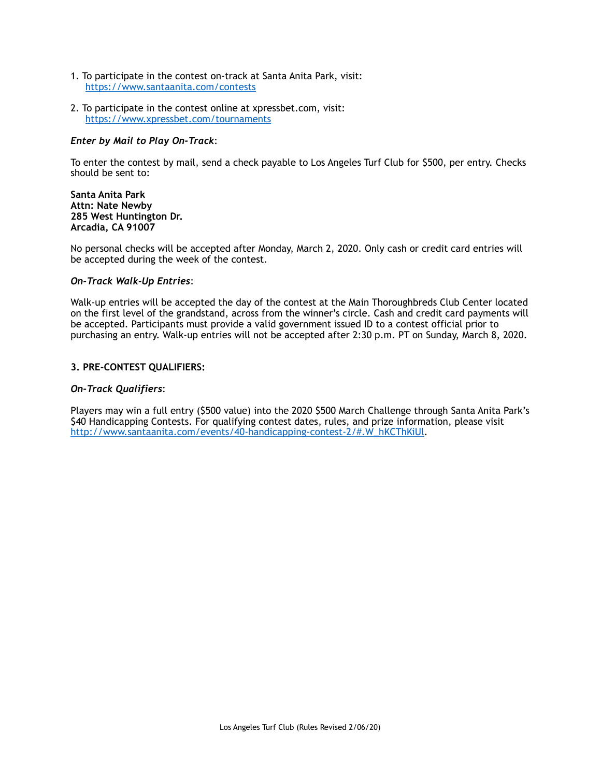- 1. To participate in the contest on-track at Santa Anita Park, visit: <https://www.santaanita.com/contests>
- 2. To participate in the contest online at xpressbet.com, visit: <https://www.xpressbet.com/tournaments>

# *Enter by Mail to Play On-Track*:

To enter the contest by mail, send a check payable to Los Angeles Turf Club for \$500, per entry. Checks should be sent to:

#### **Santa Anita Park Attn: Nate Newby 285 West Huntington Dr. Arcadia, CA 91007**

No personal checks will be accepted after Monday, March 2, 2020. Only cash or credit card entries will be accepted during the week of the contest.

# *On-Track Walk-Up Entries*:

Walk-up entries will be accepted the day of the contest at the Main Thoroughbreds Club Center located on the first level of the grandstand, across from the winner's circle. Cash and credit card payments will be accepted. Participants must provide a valid government issued ID to a contest official prior to purchasing an entry. Walk-up entries will not be accepted after 2:30 p.m. PT on Sunday, March 8, 2020.

# **3. PRE-CONTEST QUALIFIERS:**

# *On-Track Qualifiers*:

Players may win a full entry (\$500 value) into the 2020 \$500 March Challenge through Santa Anita Park's \$40 Handicapping Contests. For qualifying contest dates, rules, and prize information, please visit [http://www.santaanita.com/events/40-handicapping-contest-2/#.W\\_hKCThKiUl](http://www.santaanita.com/events/40-handicapping-contest-2/#.W_hKCThKiUl).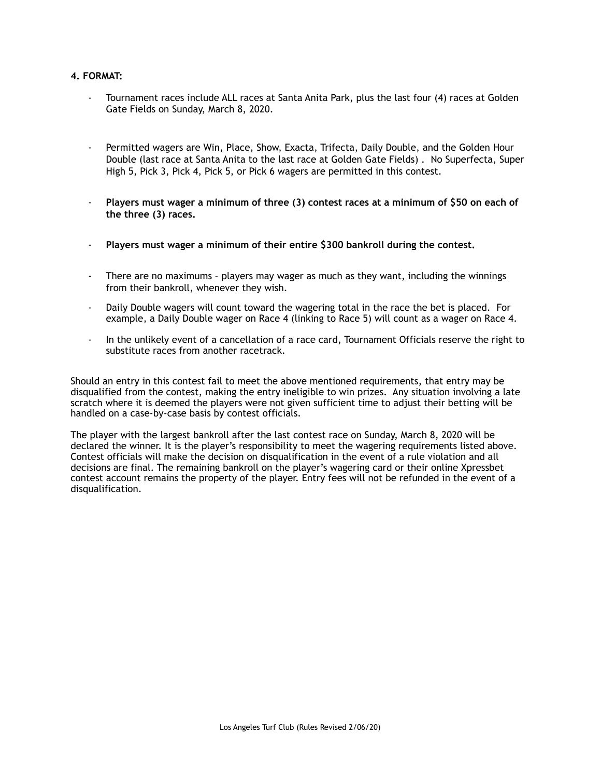# **4. FORMAT:**

- Tournament races include ALL races at Santa Anita Park, plus the last four (4) races at Golden Gate Fields on Sunday, March 8, 2020.
- Permitted wagers are Win, Place, Show, Exacta, Trifecta, Daily Double, and the Golden Hour Double (last race at Santa Anita to the last race at Golden Gate Fields) . No Superfecta, Super High 5, Pick 3, Pick 4, Pick 5, or Pick 6 wagers are permitted in this contest.
- **Players must wager a minimum of three (3) contest races at a minimum of \$50 on each of the three (3) races.**
- **Players must wager a minimum of their entire \$300 bankroll during the contest.**
- There are no maximums players may wager as much as they want, including the winnings from their bankroll, whenever they wish.
- Daily Double wagers will count toward the wagering total in the race the bet is placed. For example, a Daily Double wager on Race 4 (linking to Race 5) will count as a wager on Race 4.
- In the unlikely event of a cancellation of a race card, Tournament Officials reserve the right to substitute races from another racetrack.

Should an entry in this contest fail to meet the above mentioned requirements, that entry may be disqualified from the contest, making the entry ineligible to win prizes. Any situation involving a late scratch where it is deemed the players were not given sufficient time to adjust their betting will be handled on a case-by-case basis by contest officials.

The player with the largest bankroll after the last contest race on Sunday, March 8, 2020 will be declared the winner. It is the player's responsibility to meet the wagering requirements listed above. Contest officials will make the decision on disqualification in the event of a rule violation and all decisions are final. The remaining bankroll on the player's wagering card or their online Xpressbet contest account remains the property of the player. Entry fees will not be refunded in the event of a disqualification.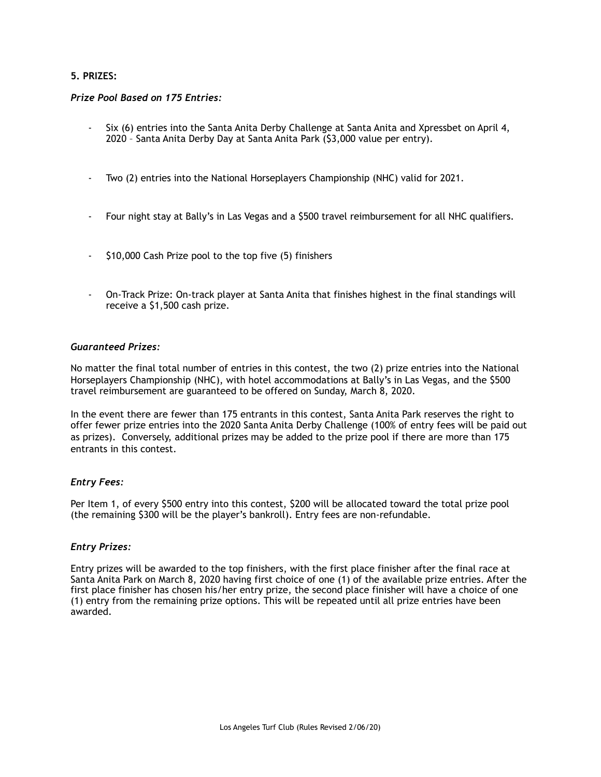# **5. PRIZES:**

# *Prize Pool Based on 175 Entries:*

- Six (6) entries into the Santa Anita Derby Challenge at Santa Anita and Xpressbet on April 4, 2020 – Santa Anita Derby Day at Santa Anita Park (\$3,000 value per entry).
- Two (2) entries into the National Horseplayers Championship (NHC) valid for 2021.
- Four night stay at Bally's in Las Vegas and a \$500 travel reimbursement for all NHC qualifiers.
- \$10,000 Cash Prize pool to the top five (5) finishers
- On-Track Prize: On-track player at Santa Anita that finishes highest in the final standings will receive a \$1,500 cash prize.

#### *Guaranteed Prizes:*

No matter the final total number of entries in this contest, the two (2) prize entries into the National Horseplayers Championship (NHC), with hotel accommodations at Bally's in Las Vegas, and the \$500 travel reimbursement are guaranteed to be offered on Sunday, March 8, 2020.

In the event there are fewer than 175 entrants in this contest, Santa Anita Park reserves the right to offer fewer prize entries into the 2020 Santa Anita Derby Challenge (100% of entry fees will be paid out as prizes). Conversely, additional prizes may be added to the prize pool if there are more than 175 entrants in this contest.

# *Entry Fees:*

Per Item 1, of every \$500 entry into this contest, \$200 will be allocated toward the total prize pool (the remaining \$300 will be the player's bankroll). Entry fees are non-refundable.

# *Entry Prizes:*

Entry prizes will be awarded to the top finishers, with the first place finisher after the final race at Santa Anita Park on March 8, 2020 having first choice of one (1) of the available prize entries. After the first place finisher has chosen his/her entry prize, the second place finisher will have a choice of one (1) entry from the remaining prize options. This will be repeated until all prize entries have been awarded.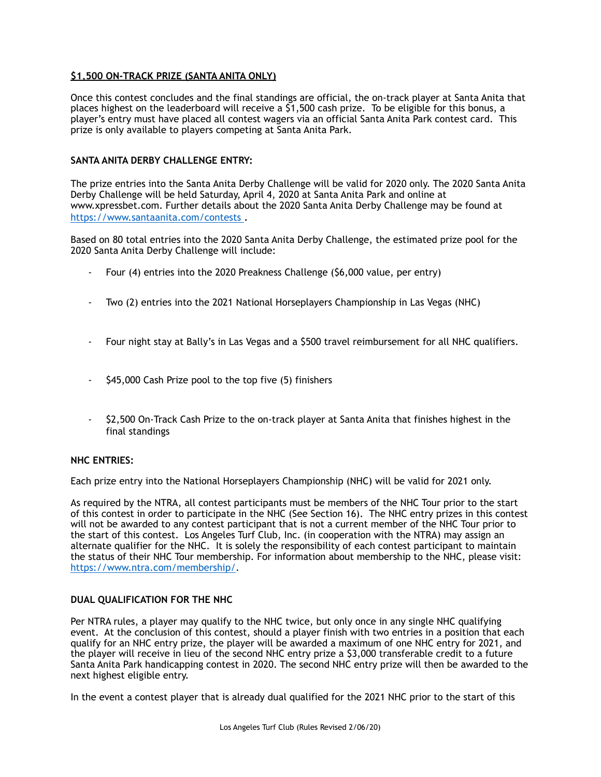# **\$1,500 ON-TRACK PRIZE (SANTA ANITA ONLY)**

Once this contest concludes and the final standings are official, the on-track player at Santa Anita that places highest on the leaderboard will receive a \$1,500 cash prize. To be eligible for this bonus, a player's entry must have placed all contest wagers via an official Santa Anita Park contest card. This prize is only available to players competing at Santa Anita Park.

# **SANTA ANITA DERBY CHALLENGE ENTRY:**

The prize entries into the Santa Anita Derby Challenge will be valid for 2020 only. The 2020 Santa Anita Derby Challenge will be held Saturday, April 4, 2020 at Santa Anita Park and online at www.xpressbet.com. Further details about the 2020 Santa Anita Derby Challenge may be found at <https://www.santaanita.com/contests>.

Based on 80 total entries into the 2020 Santa Anita Derby Challenge, the estimated prize pool for the 2020 Santa Anita Derby Challenge will include:

- Four (4) entries into the 2020 Preakness Challenge (\$6,000 value, per entry)
- Two (2) entries into the 2021 National Horseplayers Championship in Las Vegas (NHC)
- Four night stay at Bally's in Las Vegas and a \$500 travel reimbursement for all NHC qualifiers.
- \$45,000 Cash Prize pool to the top five (5) finishers
- \$2,500 On-Track Cash Prize to the on-track player at Santa Anita that finishes highest in the final standings

# **NHC ENTRIES:**

Each prize entry into the National Horseplayers Championship (NHC) will be valid for 2021 only.

As required by the NTRA, all contest participants must be members of the NHC Tour prior to the start of this contest in order to participate in the NHC (See Section 16). The NHC entry prizes in this contest will not be awarded to any contest participant that is not a current member of the NHC Tour prior to the start of this contest. Los Angeles Turf Club, Inc. (in cooperation with the NTRA) may assign an alternate qualifier for the NHC. It is solely the responsibility of each contest participant to maintain the status of their NHC Tour membership. For information about membership to the NHC, please visit: <https://www.ntra.com/membership/>.

# **DUAL QUALIFICATION FOR THE NHC**

Per NTRA rules, a player may qualify to the NHC twice, but only once in any single NHC qualifying event. At the conclusion of this contest, should a player finish with two entries in a position that each qualify for an NHC entry prize, the player will be awarded a maximum of one NHC entry for 2021, and the player will receive in lieu of the second NHC entry prize a \$3,000 transferable credit to a future Santa Anita Park handicapping contest in 2020. The second NHC entry prize will then be awarded to the next highest eligible entry.

In the event a contest player that is already dual qualified for the 2021 NHC prior to the start of this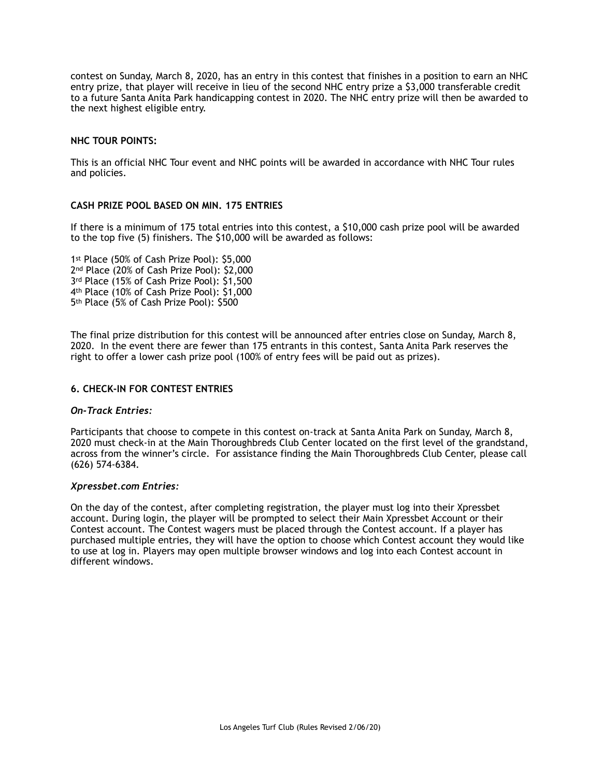contest on Sunday, March 8, 2020, has an entry in this contest that finishes in a position to earn an NHC entry prize, that player will receive in lieu of the second NHC entry prize a \$3,000 transferable credit to a future Santa Anita Park handicapping contest in 2020. The NHC entry prize will then be awarded to the next highest eligible entry.

# **NHC TOUR POINTS:**

This is an official NHC Tour event and NHC points will be awarded in accordance with NHC Tour rules and policies.

# **CASH PRIZE POOL BASED ON MIN. 175 ENTRIES**

If there is a minimum of 175 total entries into this contest, a \$10,000 cash prize pool will be awarded to the top five (5) finishers. The \$10,000 will be awarded as follows:

1st Place (50% of Cash Prize Pool): \$5,000 2<sup>nd</sup> Place (20% of Cash Prize Pool): \$2,000 3rd Place (15% of Cash Prize Pool): \$1,500 4<sup>th</sup> Place (10% of Cash Prize Pool): \$1,000 5th Place (5% of Cash Prize Pool): \$500

The final prize distribution for this contest will be announced after entries close on Sunday, March 8, 2020. In the event there are fewer than 175 entrants in this contest, Santa Anita Park reserves the right to offer a lower cash prize pool (100% of entry fees will be paid out as prizes).

# **6. CHECK-IN FOR CONTEST ENTRIES**

# *On-Track Entries:*

Participants that choose to compete in this contest on-track at Santa Anita Park on Sunday, March 8, 2020 must check-in at the Main Thoroughbreds Club Center located on the first level of the grandstand, across from the winner's circle. For assistance finding the Main Thoroughbreds Club Center, please call (626) 574-6384.

# *Xpressbet.com Entries:*

On the day of the contest, after completing registration, the player must log into their Xpressbet account. During login, the player will be prompted to select their Main Xpressbet Account or their Contest account. The Contest wagers must be placed through the Contest account. If a player has purchased multiple entries, they will have the option to choose which Contest account they would like to use at log in. Players may open multiple browser windows and log into each Contest account in different windows.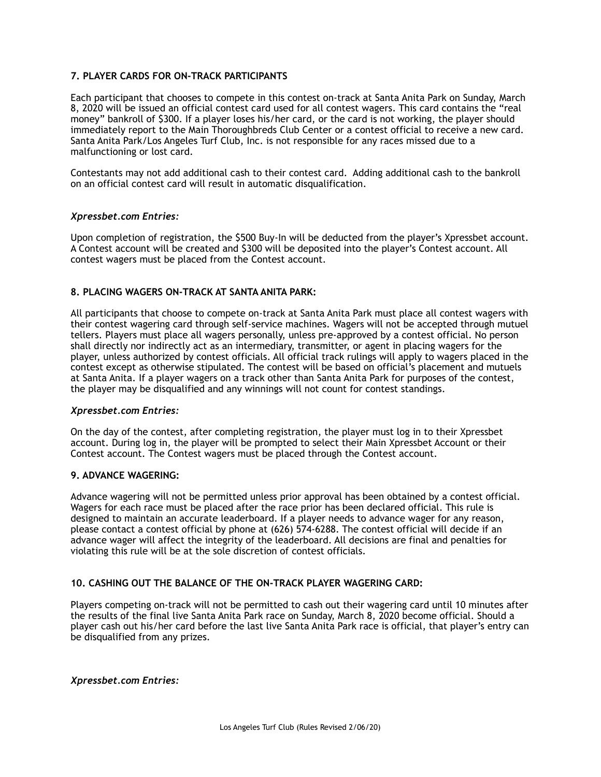# **7. PLAYER CARDS FOR ON-TRACK PARTICIPANTS**

Each participant that chooses to compete in this contest on-track at Santa Anita Park on Sunday, March 8, 2020 will be issued an official contest card used for all contest wagers. This card contains the "real money" bankroll of \$300. If a player loses his/her card, or the card is not working, the player should immediately report to the Main Thoroughbreds Club Center or a contest official to receive a new card. Santa Anita Park/Los Angeles Turf Club, Inc. is not responsible for any races missed due to a malfunctioning or lost card.

Contestants may not add additional cash to their contest card. Adding additional cash to the bankroll on an official contest card will result in automatic disqualification.

# *Xpressbet.com Entries:*

Upon completion of registration, the \$500 Buy-In will be deducted from the player's Xpressbet account. A Contest account will be created and \$300 will be deposited into the player's Contest account. All contest wagers must be placed from the Contest account.

# **8. PLACING WAGERS ON-TRACK AT SANTA ANITA PARK:**

All participants that choose to compete on-track at Santa Anita Park must place all contest wagers with their contest wagering card through self-service machines. Wagers will not be accepted through mutuel tellers. Players must place all wagers personally, unless pre-approved by a contest official. No person shall directly nor indirectly act as an intermediary, transmitter, or agent in placing wagers for the player, unless authorized by contest officials. All official track rulings will apply to wagers placed in the contest except as otherwise stipulated. The contest will be based on official's placement and mutuels at Santa Anita. If a player wagers on a track other than Santa Anita Park for purposes of the contest, the player may be disqualified and any winnings will not count for contest standings.

# *Xpressbet.com Entries:*

On the day of the contest, after completing registration, the player must log in to their Xpressbet account. During log in, the player will be prompted to select their Main Xpressbet Account or their Contest account. The Contest wagers must be placed through the Contest account.

# **9. ADVANCE WAGERING:**

Advance wagering will not be permitted unless prior approval has been obtained by a contest official. Wagers for each race must be placed after the race prior has been declared official. This rule is designed to maintain an accurate leaderboard. If a player needs to advance wager for any reason, please contact a contest official by phone at (626) 574-6288. The contest official will decide if an advance wager will affect the integrity of the leaderboard. All decisions are final and penalties for violating this rule will be at the sole discretion of contest officials.

# **10. CASHING OUT THE BALANCE OF THE ON-TRACK PLAYER WAGERING CARD:**

Players competing on-track will not be permitted to cash out their wagering card until 10 minutes after the results of the final live Santa Anita Park race on Sunday, March 8, 2020 become official. Should a player cash out his/her card before the last live Santa Anita Park race is official, that player's entry can be disqualified from any prizes.

# *Xpressbet.com Entries:*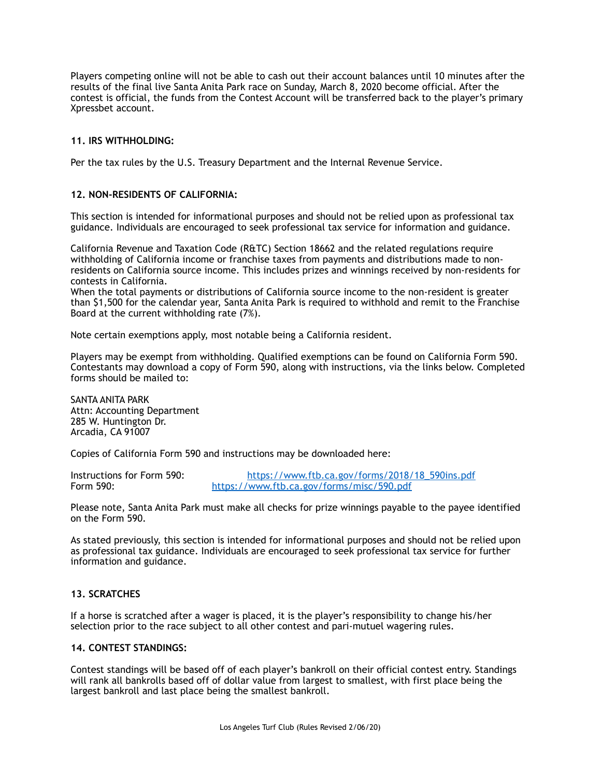Players competing online will not be able to cash out their account balances until 10 minutes after the results of the final live Santa Anita Park race on Sunday, March 8, 2020 become official. After the contest is official, the funds from the Contest Account will be transferred back to the player's primary Xpressbet account.

# **11. IRS WITHHOLDING:**

Per the tax rules by the U.S. Treasury Department and the Internal Revenue Service.

# **12. NON-RESIDENTS OF CALIFORNIA:**

This section is intended for informational purposes and should not be relied upon as professional tax guidance. Individuals are encouraged to seek professional tax service for information and guidance.

California Revenue and Taxation Code (R&TC) Section 18662 and the related regulations require withholding of California income or franchise taxes from payments and distributions made to nonresidents on California source income. This includes prizes and winnings received by non-residents for contests in California.

When the total payments or distributions of California source income to the non-resident is greater than \$1,500 for the calendar year, Santa Anita Park is required to withhold and remit to the Franchise Board at the current withholding rate (7%).

Note certain exemptions apply, most notable being a California resident.

Players may be exempt from withholding. Qualified exemptions can be found on California Form 590. Contestants may download a copy of Form 590, along with instructions, via the links below. Completed forms should be mailed to:

SANTA ANITA PARK Attn: Accounting Department 285 W. Huntington Dr. Arcadia, CA 91007

Copies of California Form 590 and instructions may be downloaded here:

Instructions for Form 590:<br>
Form 590: https://www.ftb.ca.gov/forms/misc/590.pdf<br>
https://www.ftb.ca.gov/forms/misc/590.pdf <https://www.ftb.ca.gov/forms/misc/590.pdf>

Please note, Santa Anita Park must make all checks for prize winnings payable to the payee identified on the Form 590.

As stated previously, this section is intended for informational purposes and should not be relied upon as professional tax guidance. Individuals are encouraged to seek professional tax service for further information and guidance.

# **13. SCRATCHES**

If a horse is scratched after a wager is placed, it is the player's responsibility to change his/her selection prior to the race subject to all other contest and pari-mutuel wagering rules.

# **14. CONTEST STANDINGS:**

Contest standings will be based off of each player's bankroll on their official contest entry. Standings will rank all bankrolls based off of dollar value from largest to smallest, with first place being the largest bankroll and last place being the smallest bankroll.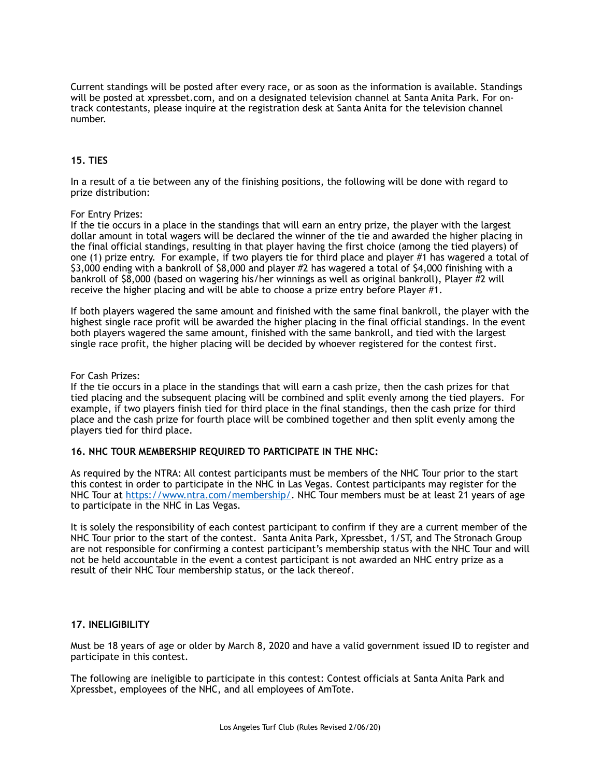Current standings will be posted after every race, or as soon as the information is available. Standings will be posted at xpressbet.com, and on a designated television channel at Santa Anita Park. For ontrack contestants, please inquire at the registration desk at Santa Anita for the television channel number.

# **15. TIES**

In a result of a tie between any of the finishing positions, the following will be done with regard to prize distribution:

#### For Entry Prizes:

If the tie occurs in a place in the standings that will earn an entry prize, the player with the largest dollar amount in total wagers will be declared the winner of the tie and awarded the higher placing in the final official standings, resulting in that player having the first choice (among the tied players) of one (1) prize entry. For example, if two players tie for third place and player #1 has wagered a total of \$3,000 ending with a bankroll of \$8,000 and player #2 has wagered a total of \$4,000 finishing with a bankroll of \$8,000 (based on wagering his/her winnings as well as original bankroll), Player #2 will receive the higher placing and will be able to choose a prize entry before Player #1.

If both players wagered the same amount and finished with the same final bankroll, the player with the highest single race profit will be awarded the higher placing in the final official standings. In the event both players wagered the same amount, finished with the same bankroll, and tied with the largest single race profit, the higher placing will be decided by whoever registered for the contest first.

#### For Cash Prizes:

If the tie occurs in a place in the standings that will earn a cash prize, then the cash prizes for that tied placing and the subsequent placing will be combined and split evenly among the tied players. For example, if two players finish tied for third place in the final standings, then the cash prize for third place and the cash prize for fourth place will be combined together and then split evenly among the players tied for third place.

# **16. NHC TOUR MEMBERSHIP REQUIRED TO PARTICIPATE IN THE NHC:**

As required by the NTRA: All contest participants must be members of the NHC Tour prior to the start this contest in order to participate in the NHC in Las Vegas. Contest participants may register for the NHC Tour at [https://www.ntra.com/membership/.](https://www.ntra.com/membership/) NHC Tour members must be at least 21 years of age to participate in the NHC in Las Vegas.

It is solely the responsibility of each contest participant to confirm if they are a current member of the NHC Tour prior to the start of the contest. Santa Anita Park, Xpressbet, 1/ST, and The Stronach Group are not responsible for confirming a contest participant's membership status with the NHC Tour and will not be held accountable in the event a contest participant is not awarded an NHC entry prize as a result of their NHC Tour membership status, or the lack thereof.

# **17. INELIGIBILITY**

Must be 18 years of age or older by March 8, 2020 and have a valid government issued ID to register and participate in this contest.

The following are ineligible to participate in this contest: Contest officials at Santa Anita Park and Xpressbet, employees of the NHC, and all employees of AmTote.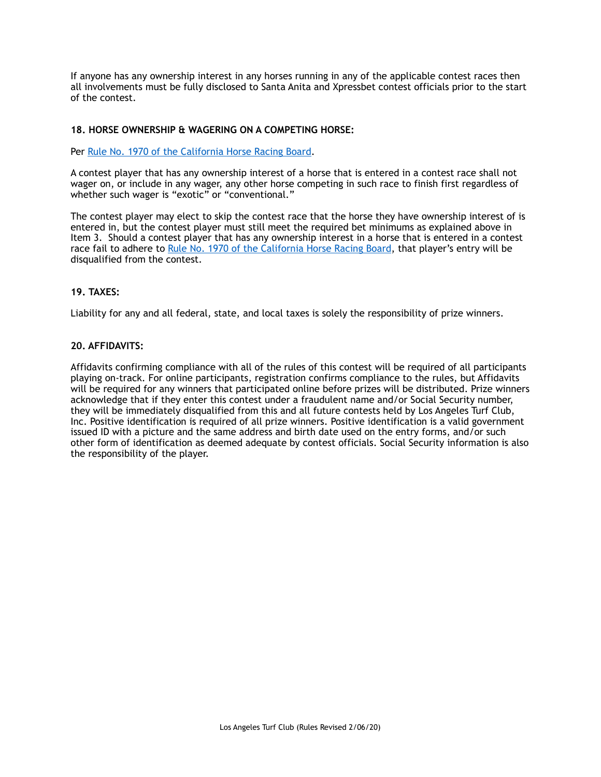If anyone has any ownership interest in any horses running in any of the applicable contest races then all involvements must be fully disclosed to Santa Anita and Xpressbet contest officials prior to the start of the contest.

# **18. HORSE OWNERSHIP & WAGERING ON A COMPETING HORSE:**

Per [Rule No. 1970 of the California Horse Racing Board](http://www.chrb.ca.gov/query_rules_and_regulations_database.asp?form_query_action=display_rule&form_query_rule_number=1970&form_query_rule_title=Wagering+on+Competing+Horse%252E&form_query_article=Wagering+on+Competing+Horse%252E&form_query_article_index=20&form_query_argument=1970).

A contest player that has any ownership interest of a horse that is entered in a contest race shall not wager on, or include in any wager, any other horse competing in such race to finish first regardless of whether such wager is "exotic" or "conventional."

The contest player may elect to skip the contest race that the horse they have ownership interest of is entered in, but the contest player must still meet the required bet minimums as explained above in Item 3. Should a contest player that has any ownership interest in a horse that is entered in a contest race fail to adhere to [Rule No. 1970 of the California Horse Racing Board,](http://www.chrb.ca.gov/query_rules_and_regulations_database.asp?form_query_action=display_rule&form_query_rule_number=1970&form_query_rule_title=Wagering+on+Competing+Horse%252E&form_query_article=Wagering+on+Competing+Horse%252E&form_query_article_index=20&form_query_argument=1970) that player's entry will be disqualified from the contest.

# **19. TAXES:**

Liability for any and all federal, state, and local taxes is solely the responsibility of prize winners.

# **20. AFFIDAVITS:**

Affidavits confirming compliance with all of the rules of this contest will be required of all participants playing on-track. For online participants, registration confirms compliance to the rules, but Affidavits will be required for any winners that participated online before prizes will be distributed. Prize winners acknowledge that if they enter this contest under a fraudulent name and/or Social Security number, they will be immediately disqualified from this and all future contests held by Los Angeles Turf Club, Inc. Positive identification is required of all prize winners. Positive identification is a valid government issued ID with a picture and the same address and birth date used on the entry forms, and/or such other form of identification as deemed adequate by contest officials. Social Security information is also the responsibility of the player.